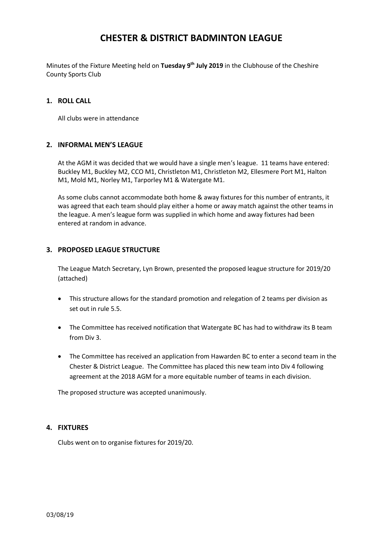## **CHESTER & DISTRICT BADMINTON LEAGUE**

Minutes of the Fixture Meeting held on **Tuesday 9 th July 2019** in the Clubhouse of the Cheshire County Sports Club

### **1. ROLL CALL**

All clubs were in attendance

### **2. INFORMAL MEN'S LEAGUE**

At the AGM it was decided that we would have a single men's league. 11 teams have entered: Buckley M1, Buckley M2, CCO M1, Christleton M1, Christleton M2, Ellesmere Port M1, Halton M1, Mold M1, Norley M1, Tarporley M1 & Watergate M1.

As some clubs cannot accommodate both home & away fixtures for this number of entrants, it was agreed that each team should play either a home or away match against the other teams in the league. A men's league form was supplied in which home and away fixtures had been entered at random in advance.

## **3. PROPOSED LEAGUE STRUCTURE**

The League Match Secretary, Lyn Brown, presented the proposed league structure for 2019/20 (attached)

- This structure allows for the standard promotion and relegation of 2 teams per division as set out in rule 5.5.
- The Committee has received notification that Watergate BC has had to withdraw its B team from Div 3.
- The Committee has received an application from Hawarden BC to enter a second team in the Chester & District League. The Committee has placed this new team into Div 4 following agreement at the 2018 AGM for a more equitable number of teams in each division.

The proposed structure was accepted unanimously.

#### **4. FIXTURES**

Clubs went on to organise fixtures for 2019/20.